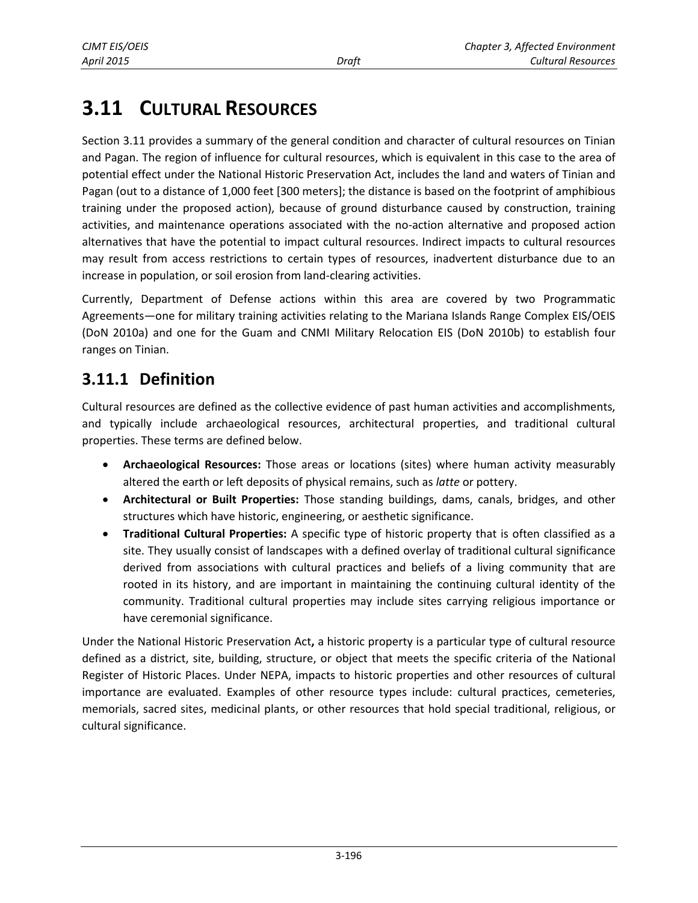# **3.11 CULTURAL RESOURCES**

Section 3.11 provides a summary of the general condition and character of cultural resources on Tinian and Pagan. The region of influence for cultural resources, which is equivalent in this case to the area of potential effect under the National Historic Preservation Act, includes the land and waters of Tinian and Pagan (out to a distance of 1,000 feet [300 meters]; the distance is based on the footprint of amphibious training under the proposed action), because of ground disturbance caused by construction, training activities, and maintenance operations associated with the no-action alternative and proposed action alternatives that have the potential to impact cultural resources. Indirect impacts to cultural resources may result from access restrictions to certain types of resources, inadvertent disturbance due to an increase in population, or soil erosion from land-clearing activities.

Currently, Department of Defense actions within this area are covered by two Programmatic Agreements—one for military training activities relating to the Mariana Islands Range Complex EIS/OEIS (DoN 2010a) and one for the Guam and CNMI Military Relocation EIS (DoN 2010b) to establish four ranges on Tinian.

### <span id="page-0-0"></span>**3.11.1 Definition**

Cultural resources are defined as the collective evidence of past human activities and accomplishments, and typically include archaeological resources, architectural properties, and traditional cultural properties. These terms are defined below.

- **Archaeological Resources:** Those areas or locations (sites) where human activity measurably altered the earth or left deposits of physical remains, such as *latte* or pottery.
- **Architectural or Built Properties:** Those standing buildings, dams, canals, bridges, and other structures which have historic, engineering, or aesthetic significance.
- **Traditional Cultural Properties:** A specific type of historic property that is often classified as a site. They usually consist of landscapes with a defined overlay of traditional cultural significance derived from associations with cultural practices and beliefs of a living community that are rooted in its history, and are important in maintaining the continuing cultural identity of the community. Traditional cultural properties may include sites carrying religious importance or have ceremonial significance.

Under the National Historic Preservation Act**,** a historic property is a particular type of cultural resource defined as a district, site, building, structure, or object that meets the specific criteria of the National Register of Historic Places. Under NEPA, impacts to historic properties and other resources of cultural importance are evaluated. Examples of other resource types include: cultural practices, cemeteries, memorials, sacred sites, medicinal plants, or other resources that hold special traditional, religious, or cultural significance.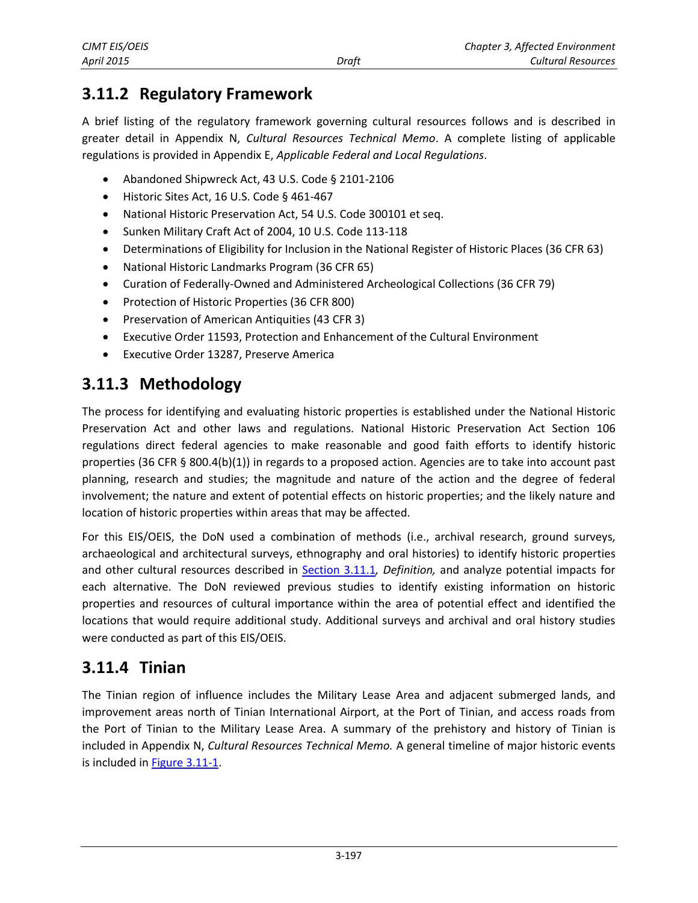# **3.11.2 Regulatory Framework**

A brief listing of the regulatory framework governing cultural resources follows and is described in greater detail in Appendix N, *Cultural Resources Technical Memo*. A complete listing of applicable regulations is provided in Appendix E, *Applicable Federal and Local Regulations*.

- Abandoned Shipwreck Act, 43 U.S. Code § 2101-2106
- Historic Sites Act, 16 U.S. Code § 461-467
- National Historic Preservation Act, 54 U.S. Code 300101 et seq.
- Sunken Military Craft Act of 2004, 10 U.S. Code 113-118
- Determinations of Eligibility for Inclusion in the National Register of Historic Places (36 CFR 63)
- National Historic Landmarks Program (36 CFR 65)
- Curation of Federally-Owned and Administered Archeological Collections (36 CFR 79)
- Protection of Historic Properties (36 CFR 800)
- **•** Preservation of American Antiquities (43 CFR 3)
- Executive Order 11593, Protection and Enhancement of the Cultural Environment
- Executive Order 13287, Preserve America

# **3.11.3 Methodology**

The process for identifying and evaluating historic properties is established under the National Historic Preservation Act and other laws and regulations. National Historic Preservation Act Section 106 regulations direct federal agencies to make reasonable and good faith efforts to identify historic properties (36 CFR § 800.4(b)(1)) in regards to a proposed action. Agencies are to take into account past planning, research and studies; the magnitude and nature of the action and the degree of federal involvement; the nature and extent of potential effects on historic properties; and the likely nature and location of historic properties within areas that may be affected.

For this EIS/OEIS, the DoN used a combination of methods (i.e., archival research, ground surveys, archaeological and architectural surveys, ethnography and oral histories) to identify historic properties and other cultural resources described in [Section 3.11.1](#page-0-0)*, Definition,* and analyze potential impacts for each alternative. The DoN reviewed previous studies to identify existing information on historic properties and resources of cultural importance within the area of potential effect and identified the locations that would require additional study. Additional surveys and archival and oral history studies were conducted as part of this EIS/OEIS.

## **3.11.4 Tinian**

The Tinian region of influence includes the Military Lease Area and adjacent submerged lands, and improvement areas north of Tinian International Airport, at the Port of Tinian, and access roads from the Port of Tinian to the Military Lease Area. A summary of the prehistory and history of Tinian is included in Appendix N, *Cultural Resources Technical Memo.* A general timeline of major historic events is included in [Figure 3.11-1.](#page-2-0)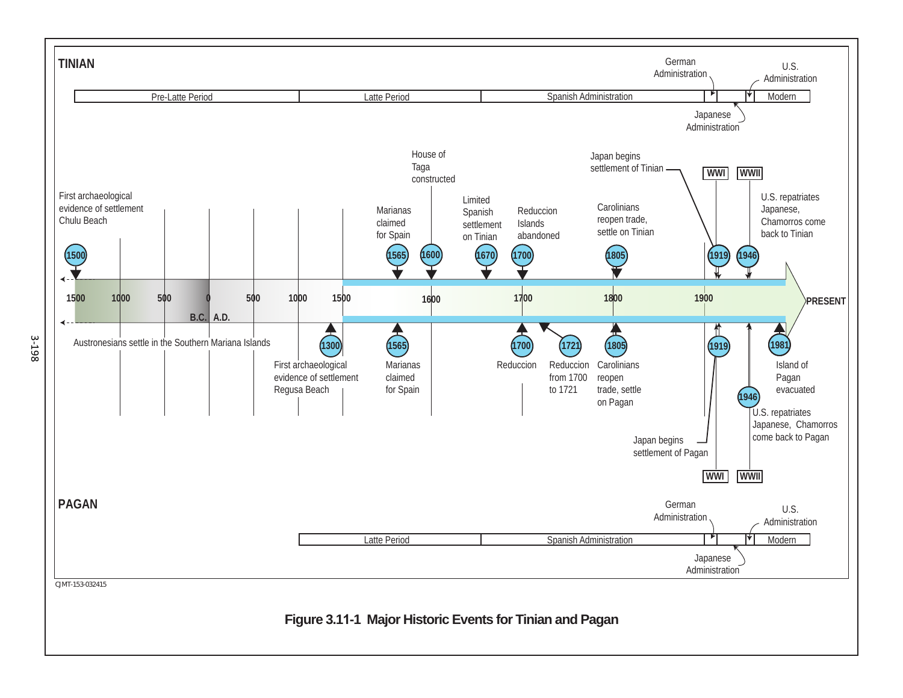<span id="page-2-0"></span>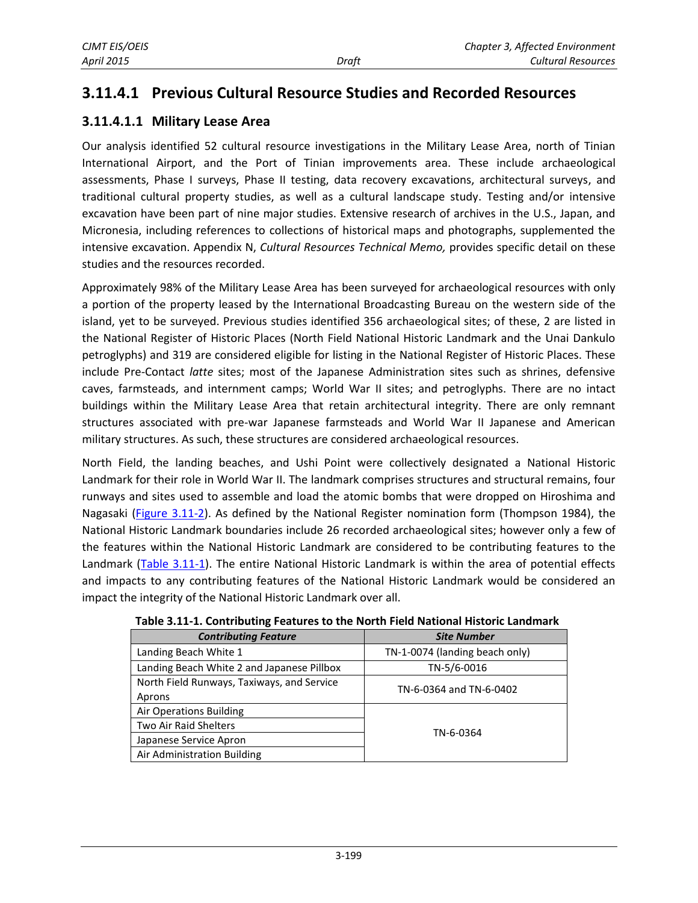### **3.11.4.1 Previous Cultural Resource Studies and Recorded Resources**

#### **3.11.4.1.1 Military Lease Area**

Our analysis identified 52 cultural resource investigations in the Military Lease Area, north of Tinian International Airport, and the Port of Tinian improvements area. These include archaeological assessments, Phase I surveys, Phase II testing, data recovery excavations, architectural surveys, and traditional cultural property studies, as well as a cultural landscape study. Testing and/or intensive excavation have been part of nine major studies. Extensive research of archives in the U.S., Japan, and Micronesia, including references to collections of historical maps and photographs, supplemented the intensive excavation. Appendix N, *Cultural Resources Technical Memo,* provides specific detail on these studies and the resources recorded.

Approximately 98% of the Military Lease Area has been surveyed for archaeological resources with only a portion of the property leased by the International Broadcasting Bureau on the western side of the island, yet to be surveyed. Previous studies identified 356 archaeological sites; of these, 2 are listed in the National Register of Historic Places (North Field National Historic Landmark and the Unai Dankulo petroglyphs) and 319 are considered eligible for listing in the National Register of Historic Places. These include Pre-Contact *latte* sites; most of the Japanese Administration sites such as shrines, defensive caves, farmsteads, and internment camps; World War II sites; and petroglyphs. There are no intact buildings within the Military Lease Area that retain architectural integrity. There are only remnant structures associated with pre-war Japanese farmsteads and World War II Japanese and American military structures. As such, these structures are considered archaeological resources.

North Field, the landing beaches, and Ushi Point were collectively designated a National Historic Landmark for their role in World War II. The landmark comprises structures and structural remains, four runways and sites used to assemble and load the atomic bombs that were dropped on Hiroshima and Nagasaki [\(Figure 3.11-2\)](#page-4-0). As defined by the National Register nomination form (Thompson 1984), the National Historic Landmark boundaries include 26 recorded archaeological sites; however only a few of the features within the National Historic Landmark are considered to be contributing features to the Landmark [\(Table 3.11-1\)](#page-3-0). The entire National Historic Landmark is within the area of potential effects and impacts to any contributing features of the National Historic Landmark would be considered an impact the integrity of the National Historic Landmark over all.

<span id="page-3-0"></span>

| <b>Contributing Feature</b>                | <b>Site Number</b>             |  |
|--------------------------------------------|--------------------------------|--|
| Landing Beach White 1                      | TN-1-0074 (landing beach only) |  |
| Landing Beach White 2 and Japanese Pillbox | TN-5/6-0016                    |  |
| North Field Runways, Taxiways, and Service | TN-6-0364 and TN-6-0402        |  |
| Aprons                                     |                                |  |
| <b>Air Operations Building</b>             |                                |  |
| <b>Two Air Raid Shelters</b>               | TN-6-0364                      |  |
| Japanese Service Apron                     |                                |  |
| Air Administration Building                |                                |  |

**Table 3.11-1. Contributing Features to the North Field National Historic Landmark**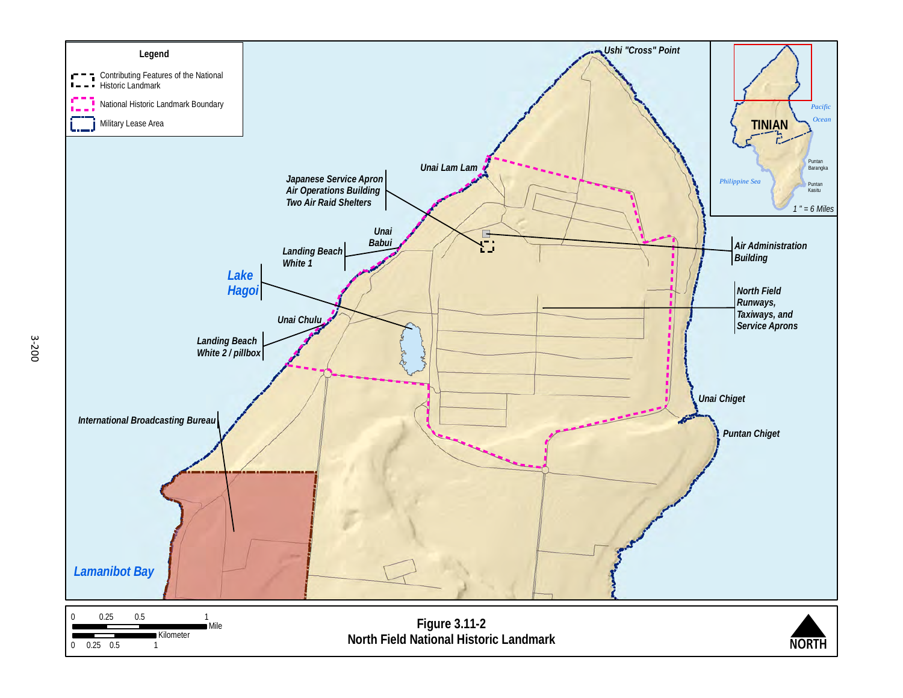<span id="page-4-0"></span>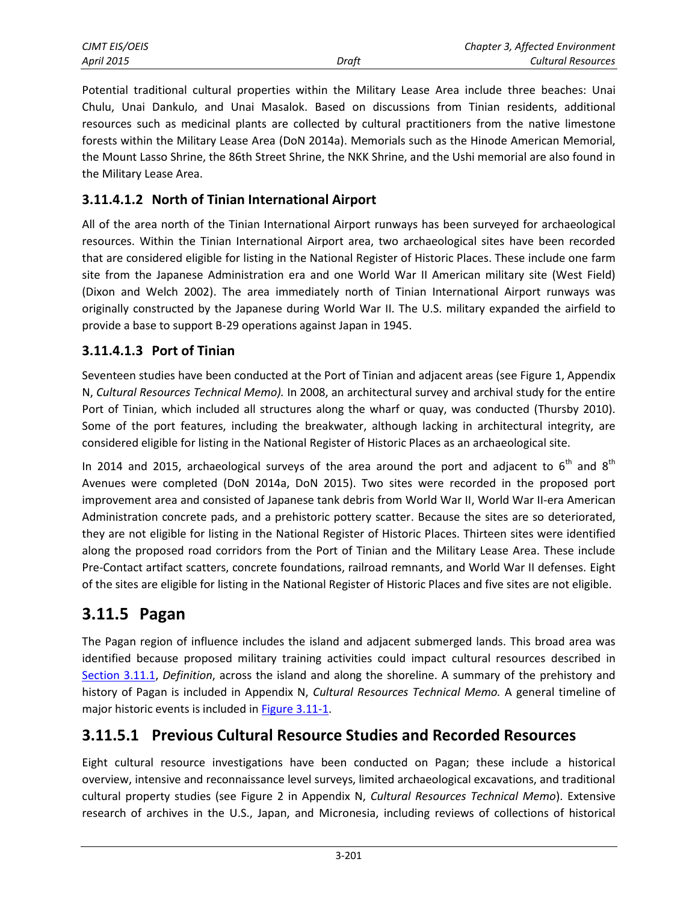| CJMT EIS/OEIS |       | Chapter 3, Affected Environment |
|---------------|-------|---------------------------------|
| April 2015    | Draft | Cultural Resources              |

Potential traditional cultural properties within the Military Lease Area include three beaches: Unai Chulu, Unai Dankulo, and Unai Masalok. Based on discussions from Tinian residents, additional resources such as medicinal plants are collected by cultural practitioners from the native limestone forests within the Military Lease Area (DoN 2014a). Memorials such as the Hinode American Memorial, the Mount Lasso Shrine, the 86th Street Shrine, the NKK Shrine, and the Ushi memorial are also found in the Military Lease Area.

#### **3.11.4.1.2 North of Tinian International Airport**

All of the area north of the Tinian International Airport runways has been surveyed for archaeological resources. Within the Tinian International Airport area, two archaeological sites have been recorded that are considered eligible for listing in the National Register of Historic Places. These include one farm site from the Japanese Administration era and one World War II American military site (West Field) (Dixon and Welch 2002). The area immediately north of Tinian International Airport runways was originally constructed by the Japanese during World War II. The U.S. military expanded the airfield to provide a base to support B-29 operations against Japan in 1945.

#### **3.11.4.1.3 Port of Tinian**

Seventeen studies have been conducted at the Port of Tinian and adjacent areas (see Figure 1, Appendix N, *Cultural Resources Technical Memo).* In 2008, an architectural survey and archival study for the entire Port of Tinian, which included all structures along the wharf or quay, was conducted (Thursby 2010). Some of the port features, including the breakwater, although lacking in architectural integrity, are considered eligible for listing in the National Register of Historic Places as an archaeological site.

In 2014 and 2015, archaeological surveys of the area around the port and adjacent to  $6<sup>th</sup>$  and  $8<sup>th</sup>$ Avenues were completed (DoN 2014a, DoN 2015). Two sites were recorded in the proposed port improvement area and consisted of Japanese tank debris from World War II, World War II-era American Administration concrete pads, and a prehistoric pottery scatter. Because the sites are so deteriorated, they are not eligible for listing in the National Register of Historic Places. Thirteen sites were identified along the proposed road corridors from the Port of Tinian and the Military Lease Area. These include Pre-Contact artifact scatters, concrete foundations, railroad remnants, and World War II defenses. Eight of the sites are eligible for listing in the National Register of Historic Places and five sites are not eligible.

### **3.11.5 Pagan**

The Pagan region of influence includes the island and adjacent submerged lands. This broad area was identified because proposed military training activities could impact cultural resources described in [Section 3.11.1,](#page-0-0) *Definition*, across the island and along the shoreline. A summary of the prehistory and history of Pagan is included in Appendix N, *Cultural Resources Technical Memo.* A general timeline of major historic events is included in [Figure 3.11-1.](#page-2-0)

#### **3.11.5.1 Previous Cultural Resource Studies and Recorded Resources**

Eight cultural resource investigations have been conducted on Pagan; these include a historical overview, intensive and reconnaissance level surveys, limited archaeological excavations, and traditional cultural property studies (see Figure 2 in Appendix N, *Cultural Resources Technical Memo*). Extensive research of archives in the U.S., Japan, and Micronesia, including reviews of collections of historical